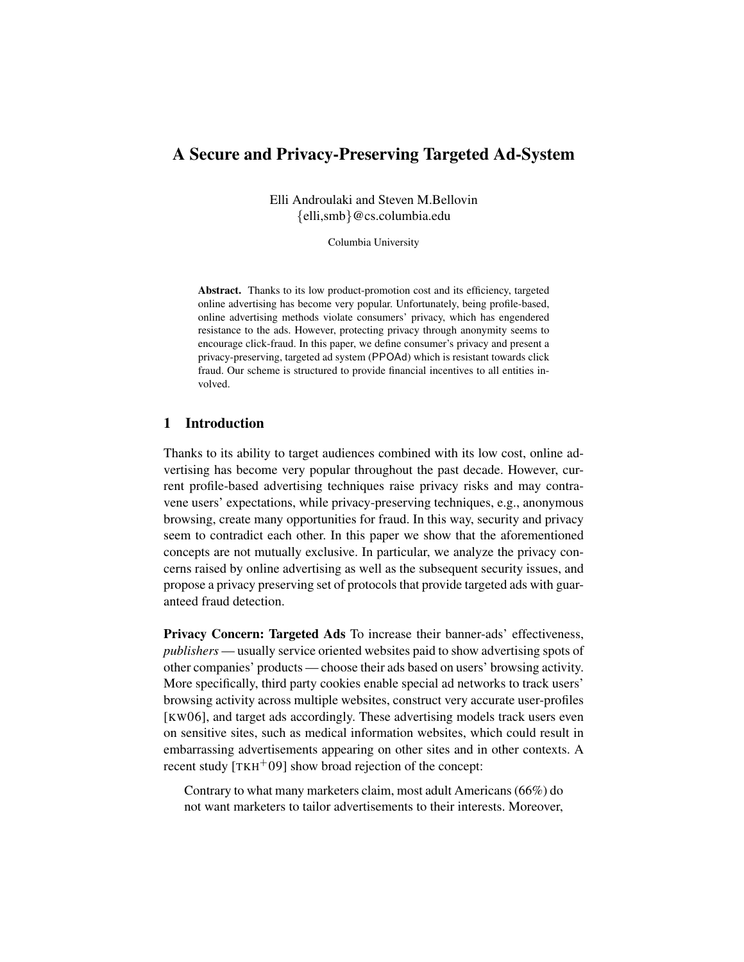# A Secure and Privacy-Preserving Targeted Ad-System

Elli Androulaki and Steven M.Bellovin {elli,smb}@cs.columbia.edu

Columbia University

Abstract. Thanks to its low product-promotion cost and its efficiency, targeted online advertising has become very popular. Unfortunately, being profile-based, online advertising methods violate consumers' privacy, which has engendered resistance to the ads. However, protecting privacy through anonymity seems to encourage click-fraud. In this paper, we define consumer's privacy and present a privacy-preserving, targeted ad system (PPOAd) which is resistant towards click fraud. Our scheme is structured to provide financial incentives to all entities involved.

# 1 Introduction

Thanks to its ability to target audiences combined with its low cost, online advertising has become very popular throughout the past decade. However, current profile-based advertising techniques raise privacy risks and may contravene users' expectations, while privacy-preserving techniques, e.g., anonymous browsing, create many opportunities for fraud. In this way, security and privacy seem to contradict each other. In this paper we show that the aforementioned concepts are not mutually exclusive. In particular, we analyze the privacy concerns raised by online advertising as well as the subsequent security issues, and propose a privacy preserving set of protocols that provide targeted ads with guaranteed fraud detection.

Privacy Concern: Targeted Ads To increase their banner-ads' effectiveness, *publishers* — usually service oriented websites paid to show advertising spots of other companies' products — choose their ads based on users' browsing activity. More specifically, third party cookies enable special ad networks to track users' browsing activity across multiple websites, construct very accurate user-profiles [KW06], and target ads accordingly. These advertising models track users even on sensitive sites, such as medical information websites, which could result in embarrassing advertisements appearing on other sites and in other contexts. A recent study  $[TKH^+09]$  show broad rejection of the concept:

Contrary to what many marketers claim, most adult Americans (66%) do not want marketers to tailor advertisements to their interests. Moreover,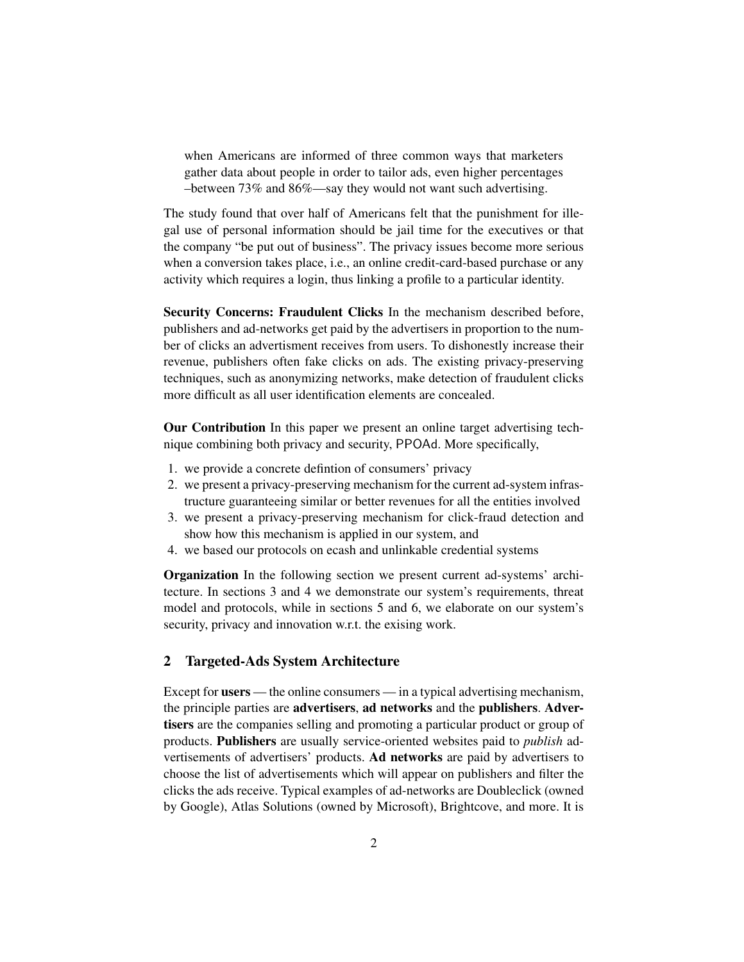when Americans are informed of three common ways that marketers gather data about people in order to tailor ads, even higher percentages –between 73% and 86%—say they would not want such advertising.

The study found that over half of Americans felt that the punishment for illegal use of personal information should be jail time for the executives or that the company "be put out of business". The privacy issues become more serious when a conversion takes place, i.e., an online credit-card-based purchase or any activity which requires a login, thus linking a profile to a particular identity.

Security Concerns: Fraudulent Clicks In the mechanism described before, publishers and ad-networks get paid by the advertisers in proportion to the number of clicks an advertisment receives from users. To dishonestly increase their revenue, publishers often fake clicks on ads. The existing privacy-preserving techniques, such as anonymizing networks, make detection of fraudulent clicks more difficult as all user identification elements are concealed.

Our Contribution In this paper we present an online target advertising technique combining both privacy and security, PPOAd. More specifically,

- 1. we provide a concrete defintion of consumers' privacy
- 2. we present a privacy-preserving mechanism for the current ad-system infrastructure guaranteeing similar or better revenues for all the entities involved
- 3. we present a privacy-preserving mechanism for click-fraud detection and show how this mechanism is applied in our system, and
- 4. we based our protocols on ecash and unlinkable credential systems

Organization In the following section we present current ad-systems' architecture. In sections 3 and 4 we demonstrate our system's requirements, threat model and protocols, while in sections 5 and 6, we elaborate on our system's security, privacy and innovation w.r.t. the exising work.

# 2 Targeted-Ads System Architecture

Except for users — the online consumers — in a typical advertising mechanism, the principle parties are advertisers, ad networks and the publishers. Advertisers are the companies selling and promoting a particular product or group of products. Publishers are usually service-oriented websites paid to *publish* advertisements of advertisers' products. Ad networks are paid by advertisers to choose the list of advertisements which will appear on publishers and filter the clicks the ads receive. Typical examples of ad-networks are Doubleclick (owned by Google), Atlas Solutions (owned by Microsoft), Brightcove, and more. It is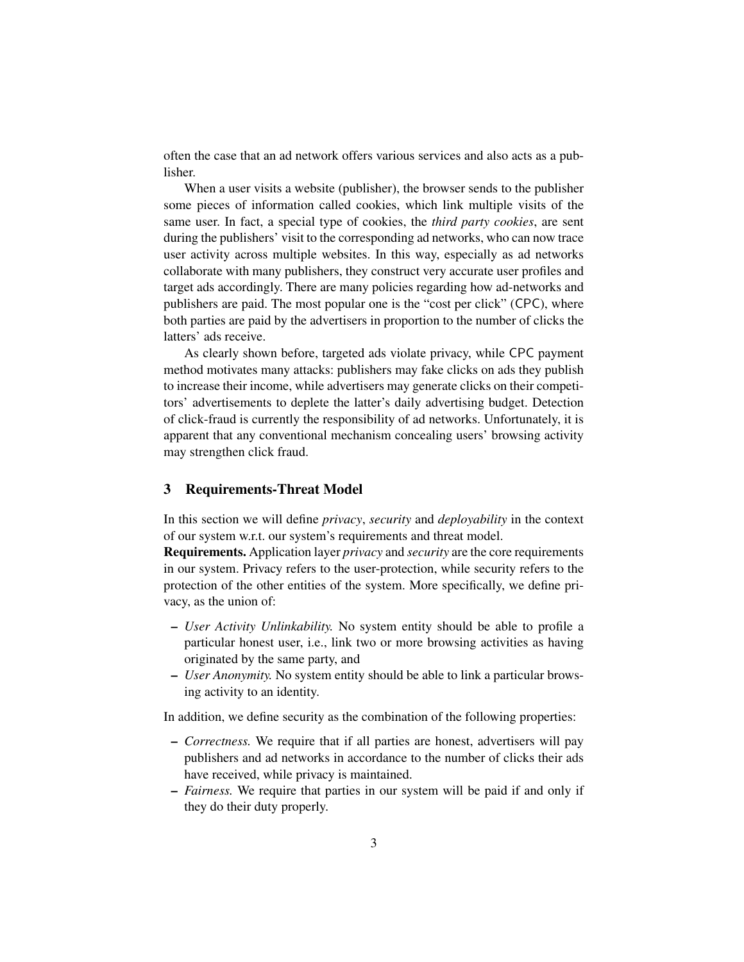often the case that an ad network offers various services and also acts as a publisher.

When a user visits a website (publisher), the browser sends to the publisher some pieces of information called cookies, which link multiple visits of the same user. In fact, a special type of cookies, the *third party cookies*, are sent during the publishers' visit to the corresponding ad networks, who can now trace user activity across multiple websites. In this way, especially as ad networks collaborate with many publishers, they construct very accurate user profiles and target ads accordingly. There are many policies regarding how ad-networks and publishers are paid. The most popular one is the "cost per click" (CPC), where both parties are paid by the advertisers in proportion to the number of clicks the latters' ads receive.

As clearly shown before, targeted ads violate privacy, while CPC payment method motivates many attacks: publishers may fake clicks on ads they publish to increase their income, while advertisers may generate clicks on their competitors' advertisements to deplete the latter's daily advertising budget. Detection of click-fraud is currently the responsibility of ad networks. Unfortunately, it is apparent that any conventional mechanism concealing users' browsing activity may strengthen click fraud.

### 3 Requirements-Threat Model

In this section we will define *privacy*, *security* and *deployability* in the context of our system w.r.t. our system's requirements and threat model.

Requirements. Application layer *privacy* and *security* are the core requirements in our system. Privacy refers to the user-protection, while security refers to the protection of the other entities of the system. More specifically, we define privacy, as the union of:

- *User Activity Unlinkability.* No system entity should be able to profile a particular honest user, i.e., link two or more browsing activities as having originated by the same party, and
- *User Anonymity.* No system entity should be able to link a particular browsing activity to an identity.

In addition, we define security as the combination of the following properties:

- *Correctness.* We require that if all parties are honest, advertisers will pay publishers and ad networks in accordance to the number of clicks their ads have received, while privacy is maintained.
- *Fairness.* We require that parties in our system will be paid if and only if they do their duty properly.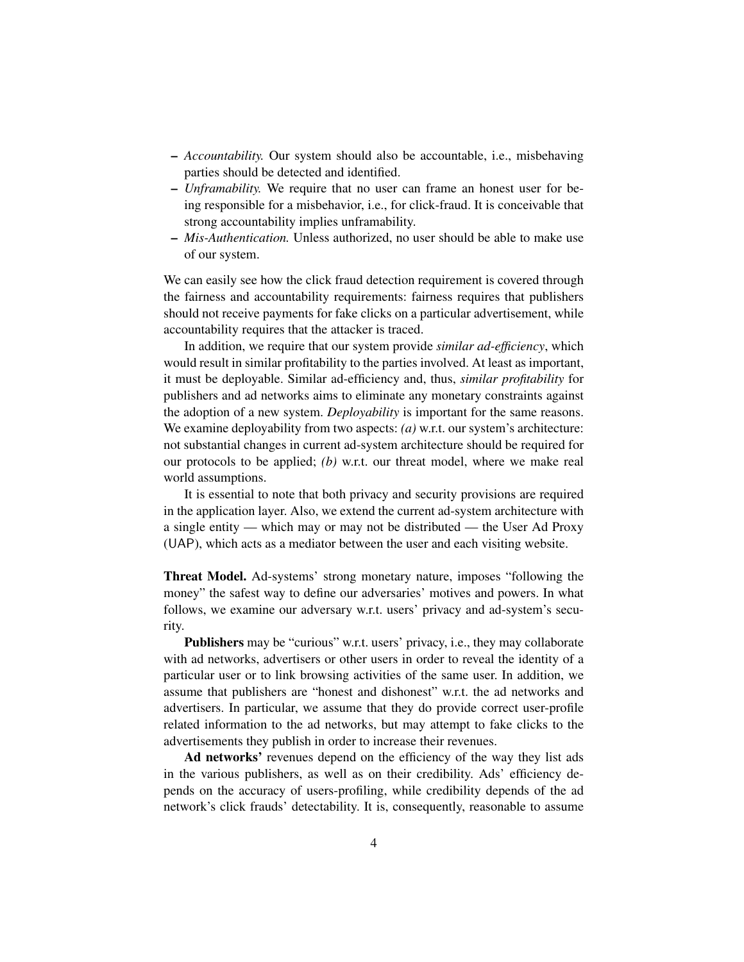- *Accountability.* Our system should also be accountable, i.e., misbehaving parties should be detected and identified.
- *Unframability.* We require that no user can frame an honest user for being responsible for a misbehavior, i.e., for click-fraud. It is conceivable that strong accountability implies unframability.
- *Mis-Authentication.* Unless authorized, no user should be able to make use of our system.

We can easily see how the click fraud detection requirement is covered through the fairness and accountability requirements: fairness requires that publishers should not receive payments for fake clicks on a particular advertisement, while accountability requires that the attacker is traced.

In addition, we require that our system provide *similar ad-efficiency*, which would result in similar profitability to the parties involved. At least as important, it must be deployable. Similar ad-efficiency and, thus, *similar profitability* for publishers and ad networks aims to eliminate any monetary constraints against the adoption of a new system. *Deployability* is important for the same reasons. We examine deployability from two aspects: *(a)* w.r.t. our system's architecture: not substantial changes in current ad-system architecture should be required for our protocols to be applied; *(b)* w.r.t. our threat model, where we make real world assumptions.

It is essential to note that both privacy and security provisions are required in the application layer. Also, we extend the current ad-system architecture with a single entity — which may or may not be distributed — the User Ad Proxy (UAP), which acts as a mediator between the user and each visiting website.

Threat Model. Ad-systems' strong monetary nature, imposes "following the money" the safest way to define our adversaries' motives and powers. In what follows, we examine our adversary w.r.t. users' privacy and ad-system's security.

Publishers may be "curious" w.r.t. users' privacy, i.e., they may collaborate with ad networks, advertisers or other users in order to reveal the identity of a particular user or to link browsing activities of the same user. In addition, we assume that publishers are "honest and dishonest" w.r.t. the ad networks and advertisers. In particular, we assume that they do provide correct user-profile related information to the ad networks, but may attempt to fake clicks to the advertisements they publish in order to increase their revenues.

Ad networks' revenues depend on the efficiency of the way they list ads in the various publishers, as well as on their credibility. Ads' efficiency depends on the accuracy of users-profiling, while credibility depends of the ad network's click frauds' detectability. It is, consequently, reasonable to assume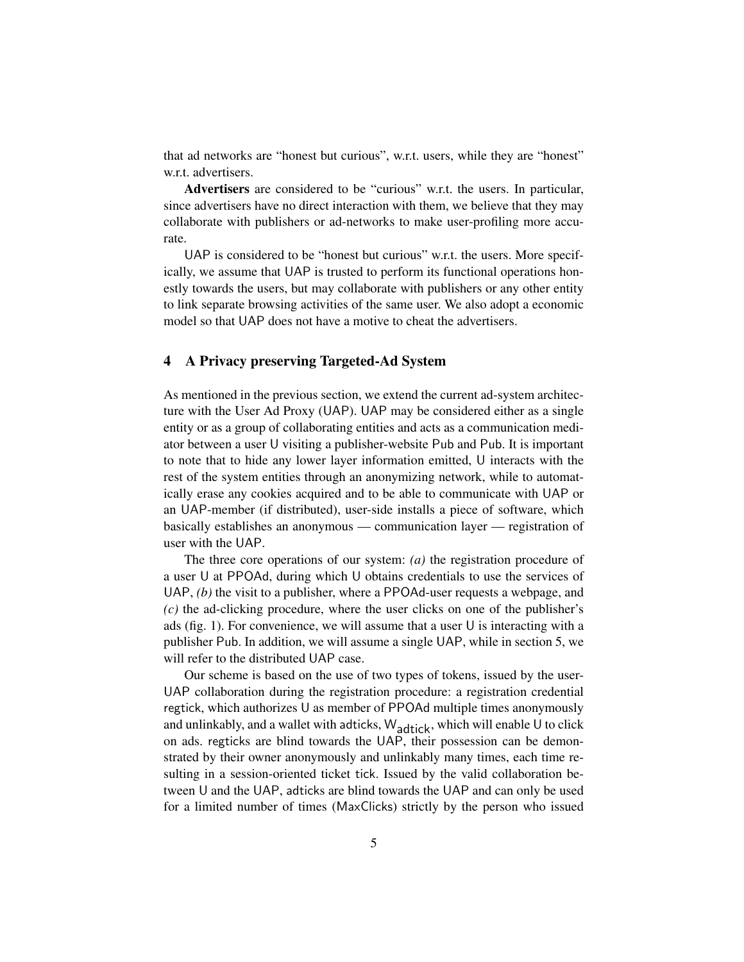that ad networks are "honest but curious", w.r.t. users, while they are "honest" w.r.t. advertisers.

Advertisers are considered to be "curious" w.r.t. the users. In particular, since advertisers have no direct interaction with them, we believe that they may collaborate with publishers or ad-networks to make user-profiling more accurate.

UAP is considered to be "honest but curious" w.r.t. the users. More specifically, we assume that UAP is trusted to perform its functional operations honestly towards the users, but may collaborate with publishers or any other entity to link separate browsing activities of the same user. We also adopt a economic model so that UAP does not have a motive to cheat the advertisers.

### 4 A Privacy preserving Targeted-Ad System

As mentioned in the previous section, we extend the current ad-system architecture with the User Ad Proxy (UAP). UAP may be considered either as a single entity or as a group of collaborating entities and acts as a communication mediator between a user U visiting a publisher-website Pub and Pub. It is important to note that to hide any lower layer information emitted, U interacts with the rest of the system entities through an anonymizing network, while to automatically erase any cookies acquired and to be able to communicate with UAP or an UAP-member (if distributed), user-side installs a piece of software, which basically establishes an anonymous — communication layer — registration of user with the UAP.

The three core operations of our system: *(a)* the registration procedure of a user U at PPOAd, during which U obtains credentials to use the services of UAP, *(b)* the visit to a publisher, where a PPOAd-user requests a webpage, and *(c)* the ad-clicking procedure, where the user clicks on one of the publisher's ads (fig. 1). For convenience, we will assume that a user U is interacting with a publisher Pub. In addition, we will assume a single UAP, while in section 5, we will refer to the distributed UAP case.

Our scheme is based on the use of two types of tokens, issued by the user-UAP collaboration during the registration procedure: a registration credential regtick, which authorizes U as member of PPOAd multiple times anonymously and unlinkably, and a wallet with adticks,  $W_{\text{adtick}}$ , which will enable U to click on ads. regticks are blind towards the UAP, their possession can be demonstrated by their owner anonymously and unlinkably many times, each time resulting in a session-oriented ticket tick. Issued by the valid collaboration between U and the UAP, adticks are blind towards the UAP and can only be used for a limited number of times (MaxClicks) strictly by the person who issued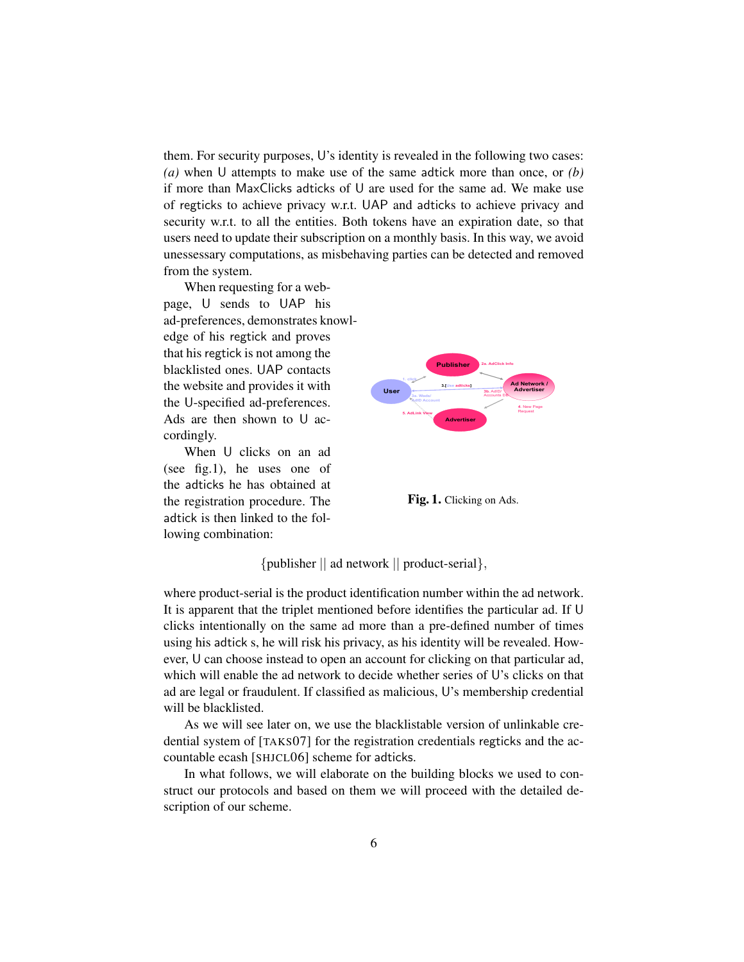them. For security purposes, U's identity is revealed in the following two cases: *(a)* when U attempts to make use of the same adtick more than once, or *(b)* if more than MaxClicks adticks of U are used for the same ad. We make use of regticks to achieve privacy w.r.t. UAP and adticks to achieve privacy and security w.r.t. to all the entities. Both tokens have an expiration date, so that users need to update their subscription on a monthly basis. In this way, we avoid unessessary computations, as misbehaving parties can be detected and removed from the system.

When requesting for a webpage, U sends to UAP his ad-preferences, demonstrates knowledge of his regtick and proves that his regtick is not among the blacklisted ones. UAP contacts the website and provides it with the U-specified ad-preferences. Ads are then shown to U accordingly.

When U clicks on an ad (see fig.1), he uses one of the adticks he has obtained at the registration procedure. The adtick is then linked to the following combination:



Fig. 1. Clicking on Ads.

{publisher || ad network || product-serial},

where product-serial is the product identification number within the ad network. It is apparent that the triplet mentioned before identifies the particular ad. If U clicks intentionally on the same ad more than a pre-defined number of times using his adtick s, he will risk his privacy, as his identity will be revealed. However, U can choose instead to open an account for clicking on that particular ad, which will enable the ad network to decide whether series of U's clicks on that ad are legal or fraudulent. If classified as malicious, U's membership credential will be blacklisted.

As we will see later on, we use the blacklistable version of unlinkable credential system of [TAKS07] for the registration credentials regticks and the accountable ecash [SHJCL06] scheme for adticks.

In what follows, we will elaborate on the building blocks we used to construct our protocols and based on them we will proceed with the detailed description of our scheme.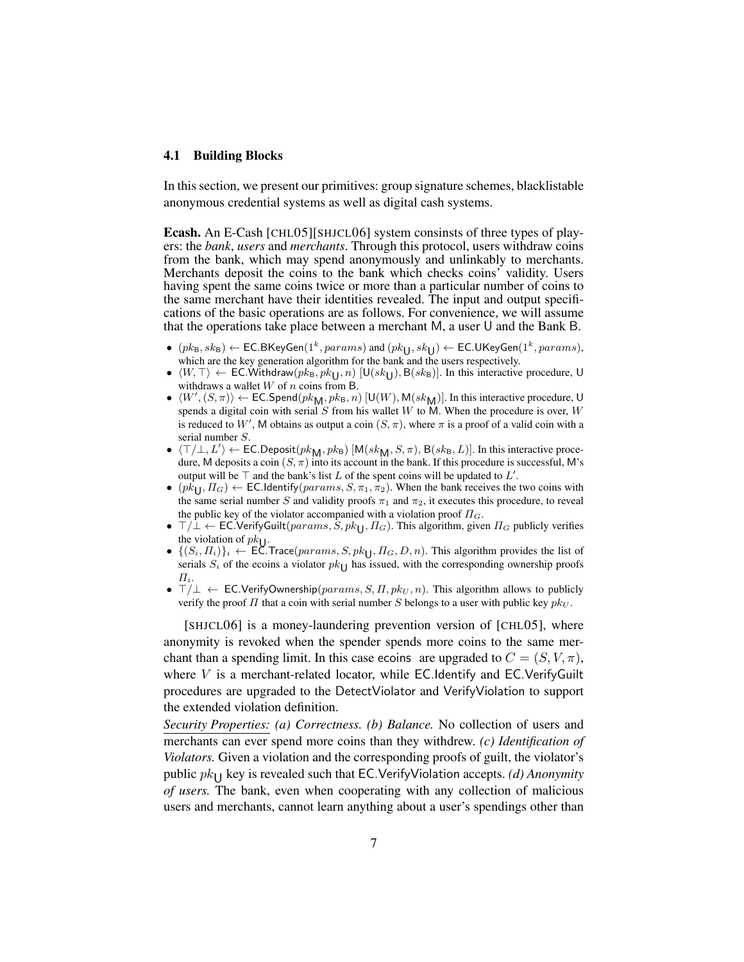#### 4.1 Building Blocks

In this section, we present our primitives: group signature schemes, blacklistable anonymous credential systems as well as digital cash systems.

Ecash. An E-Cash [CHL05][SHJCL06] system consinsts of three types of players: the *bank*, *users* and *merchants*. Through this protocol, users withdraw coins from the bank, which may spend anonymously and unlinkably to merchants. Merchants deposit the coins to the bank which checks coins' validity. Users having spent the same coins twice or more than a particular number of coins to the same merchant have their identities revealed. The input and output specifications of the basic operations are as follows. For convenience, we will assume that the operations take place between a merchant M, a user U and the Bank B.

- $(pk_B, sk_B) \leftarrow \mathsf{EC}.\mathsf{BKeyGen}(1^k,params)$  and  $(pk_U, sk_U) \leftarrow \mathsf{EC}.\mathsf{UKeyGen}(1^k,params),$ which are the key generation algorithm for the bank and the users respectively.
- $\langle W, \top \rangle \leftarrow \textsf{EC}.W$ ithdraw $(pk_B, pk_U, n)$  [U $(sk_U)$ , B $(sk_B)$ ]. In this interactive procedure, U withdraws a wallet  $W$  of  $n$  coins from B.
- $\bullet$   $\langle W',(S,\pi) \rangle \leftarrow \mathsf{EC}.\mathsf{Spend}(pk_\mathsf{M},pk_\mathsf{B}, n)$  [U(W), M( $sk_\mathsf{M}$ )]. In this interactive procedure, U spends a digital coin with serial  $S$  from his wallet  $W$  to M. When the procedure is over,  $W$ is reduced to W', M obtains as output a coin  $(S, \pi)$ , where  $\pi$  is a proof of a valid coin with a serial number S.
- $\langle \top/\bot, L'\rangle \leftarrow \textsf{EC.Deposit}(pk_{\textsf{\textbf{M}}}, pk_{\textsf{\textbf{B}}}) \left[\mathsf{M}(sk_{\textsf{\textbf{M}}}, S, \pi), \mathsf{B}(sk_{\textsf{\textbf{B}}}, L)\right]$ . In this interactive procedure, M deposits a coin  $(S, \pi)$  into its account in the bank. If this procedure is successful, M's output will be  $\top$  and the bank's list L of the spent coins will be updated to  $L'$ .
- $(p\bar{k}_1, \Pi_G) \leftarrow$  EC.Identify( $params, S, \pi_1, \pi_2$ ). When the bank receives the two coins with the same serial number S and validity proofs  $\pi_1$  and  $\pi_2$ , it executes this procedure, to reveal the public key of the violator accompanied with a violation proof  $\Pi_G$ .
- $\top/\bot \leftarrow \textsf{EC}$ . Verify Guilt $(\text{params}, S, \text{pk}_U, \Pi_G)$ . This algorithm, given  $\Pi_G$  publicly verifies the violation of  $pk$ U.
- $\{(S_i, \Pi_i)\}_i \leftarrow \textsf{EC}.\textsf{Trace}(params, S, pk_\textsf{U}, \Pi_G, D, n).$  This algorithm provides the list of serials  $S_i$  of the ecoins a violator  $pk_{U}$  has issued, with the corresponding ownership proofs  $\varPi_i$ .
- $\top/\bot \leftarrow \text{EC.VerifyOwnership}(params, S, \Pi, \text{pk}_U, n)$ . This algorithm allows to publicly verify the proof  $\Pi$  that a coin with serial number S belongs to a user with public key  $pk_U$ .

[SHJCL06] is a money-laundering prevention version of [CHL05], where anonymity is revoked when the spender spends more coins to the same merchant than a spending limit. In this case ecoins are upgraded to  $C = (S, V, \pi)$ , where  $V$  is a merchant-related locator, while EC.Identify and EC.VerifyGuilt procedures are upgraded to the DetectViolator and VerifyViolation to support the extended violation definition.

*Security Properties: (a) Correctness. (b) Balance.* No collection of users and merchants can ever spend more coins than they withdrew. *(c) Identification of Violators.* Given a violation and the corresponding proofs of guilt, the violator's public  $pk_{\bigcup}$  key is revealed such that EC.VerifyViolation accepts. *(d) Anonymity of users.* The bank, even when cooperating with any collection of malicious users and merchants, cannot learn anything about a user's spendings other than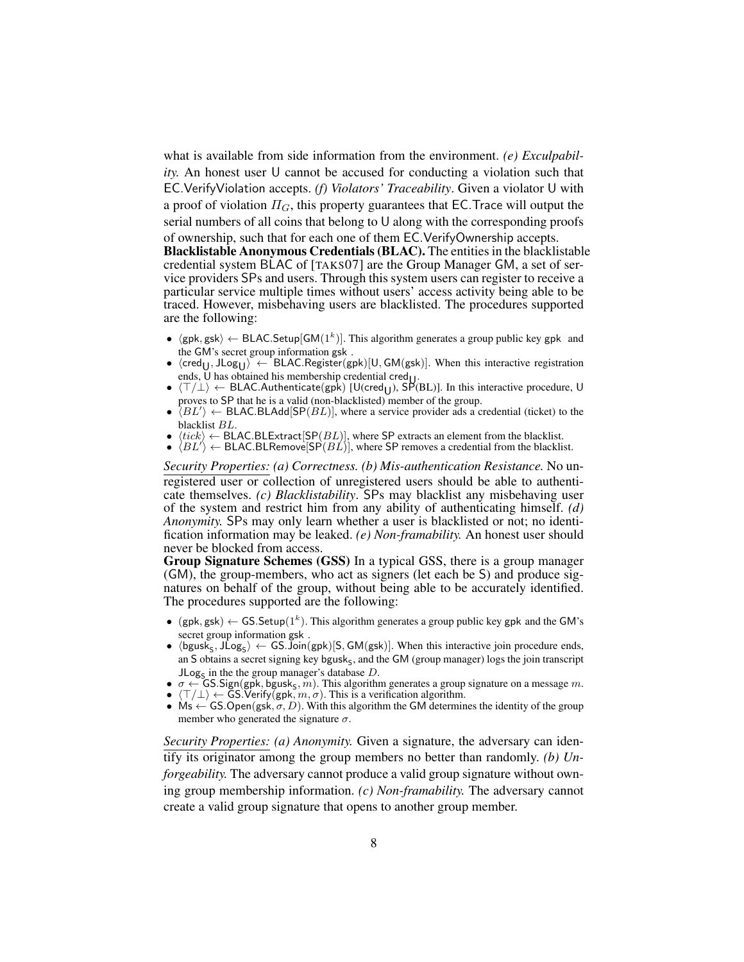what is available from side information from the environment. *(e) Exculpability.* An honest user U cannot be accused for conducting a violation such that EC.VerifyViolation accepts. *(f) Violators' Traceability*. Given a violator U with a proof of violation  $\Pi_G$ , this property guarantees that EC. Trace will output the serial numbers of all coins that belong to U along with the corresponding proofs of ownership, such that for each one of them EC.VerifyOwnership accepts.

Blacklistable Anonymous Credentials (BLAC). The entities in the blacklistable credential system BLAC of [TAKS07] are the Group Manager GM, a set of service providers SPs and users. Through this system users can register to receive a particular service multiple times without users' access activity being able to be traced. However, misbehaving users are blacklisted. The procedures supported are the following:

- $\langle$ gpk, gsk $\rangle \leftarrow$  BLAC.Setup[GM(1<sup>k</sup>)]. This algorithm generates a group public key gpk and the GM's secret group information gsk .
- $\langle \text{cred}_U, JLog_U \rangle \sim \hat{}$ BLAC.Register(gpk)[U, GM(gsk)]. When this interactive registration ends, U has obtained his membership credential cred $\mathbf{U}$ .
- $\langle \top / \bot \rangle \leftarrow$  BLAC.Authenticate(gpk) [U(cred<sub>U</sub>), SP(BL)]. In this interactive procedure, U proves to SP that he is a valid (non-blacklisted) member of the group.
- $\bullet$   $\langle BL' \rangle \leftarrow \text{BLAC.BLAdd}[\text{SP}(BL)]$ , where a service provider ads a credential (ticket) to the blacklist BL.
- $\langle tick \rangle \leftarrow \text{BLAC.BLEXtract}[SP(BL)]$ , where SP extracts an element from the blacklist.<br>•  $\langle BL' \rangle \leftarrow \text{BLAC.BLRemove}[SP(BL)]$ , where SP removes a credential from the blacklist.
- 

*Security Properties: (a) Correctness. (b) Mis-authentication Resistance.* No unregistered user or collection of unregistered users should be able to authenticate themselves. *(c) Blacklistability*. SPs may blacklist any misbehaving user of the system and restrict him from any ability of authenticating himself. *(d) Anonymity.* SPs may only learn whether a user is blacklisted or not; no identification information may be leaked. *(e) Non-framability.* An honest user should never be blocked from access.

Group Signature Schemes (GSS) In a typical GSS, there is a group manager (GM), the group-members, who act as signers (let each be S) and produce signatures on behalf of the group, without being able to be accurately identified. The procedures supported are the following:

- (gpk, gsk)  $\leftarrow$  GS. Setup(1<sup>k</sup>). This algorithm generates a group public key gpk and the GM's secret group information gsk .
- $\langle$  bgusk<sub>S</sub>,  $JLog_S \rangle$   $\leftarrow$  GS.Join(gpk)[S, GM(gsk)]. When this interactive join procedure ends, an S obtains a secret signing key bgusk<sub>S</sub>, and the GM (group manager) logs the join transcript  $JLog<sub>S</sub>$  in the the group manager's database D.
- $\sigma \leftarrow$  GS. Sign(gpk, bgusk<sub>s</sub>, m). This algorithm generates a group signature on a message m.
- $\langle \top/\bot \rangle \leftarrow \bar{G}S.\bar{V}$ erify(gpk, m,  $\sigma$ ). This is a verification algorithm.
- $\mathsf{Ms} \leftarrow \mathsf{GS}.\mathsf{Open}(\mathsf{gsk}, \sigma, D)$ . With this algorithm the GM determines the identity of the group member who generated the signature  $\sigma$ .

*Security Properties: (a) Anonymity.* Given a signature, the adversary can identify its originator among the group members no better than randomly. *(b) Unforgeability.* The adversary cannot produce a valid group signature without owning group membership information. *(c) Non-framability.* The adversary cannot create a valid group signature that opens to another group member.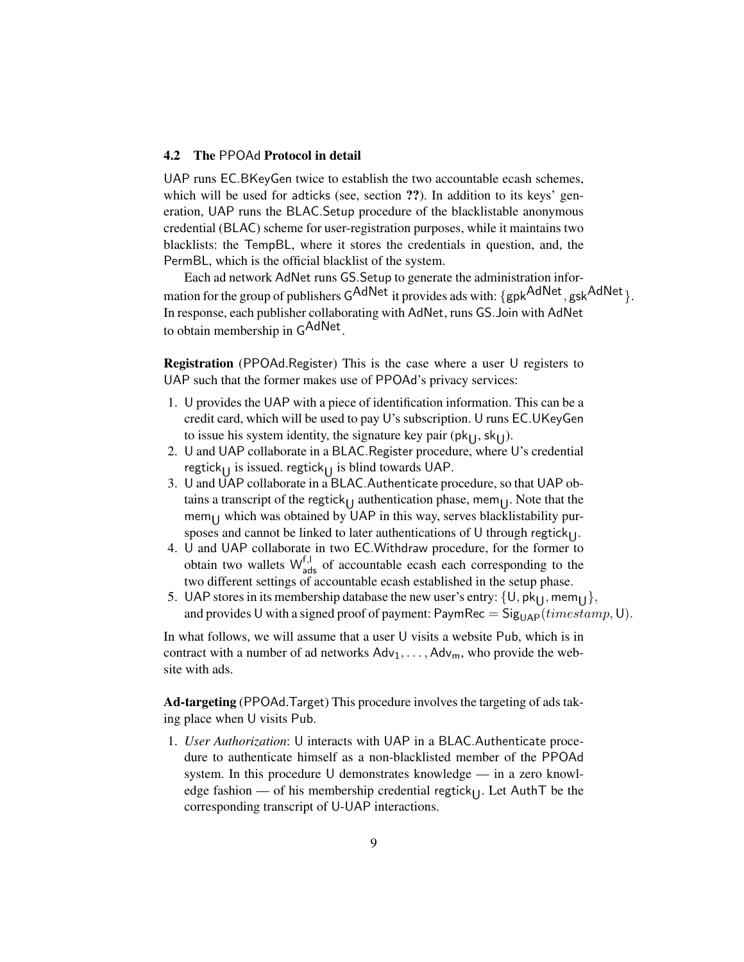#### 4.2 The PPOAd Protocol in detail

UAP runs EC.BKeyGen twice to establish the two accountable ecash schemes, which will be used for adticks (see, section ??). In addition to its keys' generation, UAP runs the BLAC.Setup procedure of the blacklistable anonymous credential (BLAC) scheme for user-registration purposes, while it maintains two blacklists: the TempBL, where it stores the credentials in question, and, the PermBL, which is the official blacklist of the system.

Each ad network AdNet runs GS.Setup to generate the administration information for the group of publishers  $G^{AdNet}$  it provides ads with:  $\{gpk^{AdNet}, gsk^{AdNet}\}$ . In response, each publisher collaborating with AdNet, runs GS.Join with AdNet to obtain membership in G AdNet .

Registration (PPOAd.Register) This is the case where a user U registers to UAP such that the former makes use of PPOAd's privacy services:

- 1. U provides the UAP with a piece of identification information. This can be a credit card, which will be used to pay U's subscription. U runs EC.UKeyGen to issue his system identity, the signature key pair  $(\mathsf{pk}_U, \mathsf{sk}_U)$ .
- 2. U and UAP collaborate in a BLAC.Register procedure, where U's credential  $\text{regtick}_{\text{U}}$  is issued. regtick<sub>U</sub> is blind towards UAP.
- 3. U and UAP collaborate in a BLAC.Authenticate procedure, so that UAP obtains a transcript of the regtick  $_U$  authentication phase, mem $_U$ . Note that the mem $_{\text{II}}$  which was obtained by UAP in this way, serves blacklistability pursposes and cannot be linked to later authentications of  $U$  through regtick $U$ .
- 4. U and UAP collaborate in two EC.Withdraw procedure, for the former to obtain two wallets  $W_{\text{ads}}^{\text{f},\text{l}}$  of accountable ecash each corresponding to the two different settings of accountable ecash established in the setup phase.
- 5. UAP stores in its membership database the new user's entry:  $\{U, \text{pk}_{U}, \text{mem}_{U}\},$ and provides U with a signed proof of payment: PaymRec =  $Sig_{UAP}(times tamp, U)$ .

In what follows, we will assume that a user U visits a website Pub, which is in contract with a number of ad networks  $Adv_1, \ldots, Adv_m$ , who provide the website with ads.

Ad-targeting (PPOAd.Target) This procedure involves the targeting of ads taking place when U visits Pub.

1. *User Authorization*: U interacts with UAP in a BLAC.Authenticate procedure to authenticate himself as a non-blacklisted member of the PPOAd system. In this procedure U demonstrates knowledge — in a zero knowledge fashion — of his membership credential regtick<sub>U</sub>. Let AuthT be the corresponding transcript of U-UAP interactions.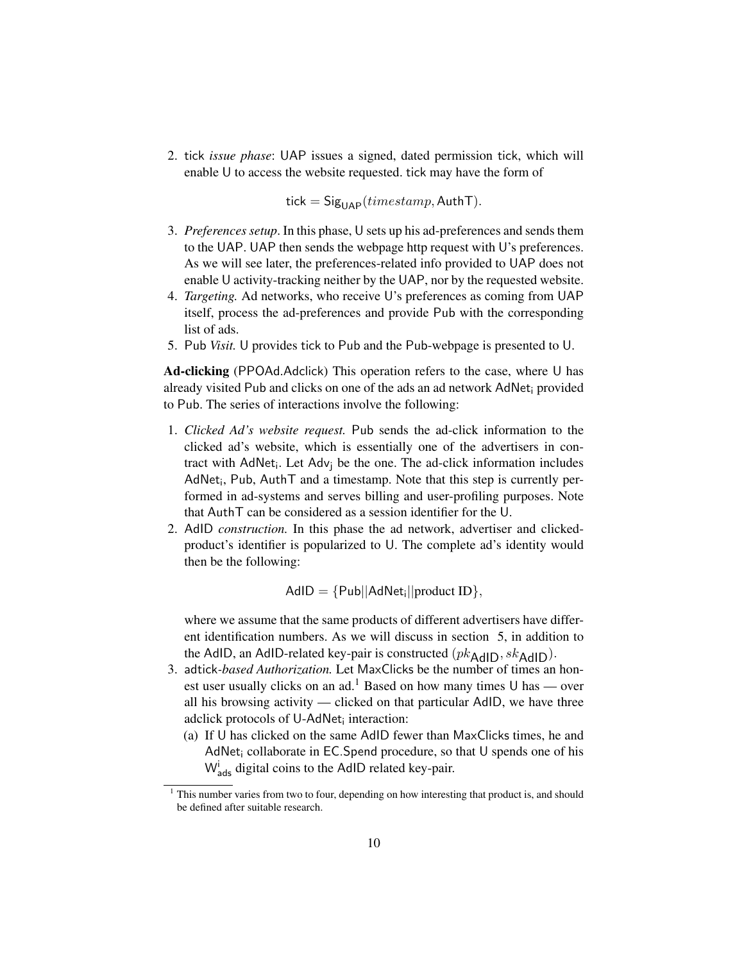2. tick *issue phase*: UAP issues a signed, dated permission tick, which will enable U to access the website requested. tick may have the form of

tick =  $Sign_{ILAP}(timestamp, Author).$ 

- 3. *Preferences setup*. In this phase, U sets up his ad-preferences and sends them to the UAP. UAP then sends the webpage http request with U's preferences. As we will see later, the preferences-related info provided to UAP does not enable U activity-tracking neither by the UAP, nor by the requested website.
- 4. *Targeting.* Ad networks, who receive U's preferences as coming from UAP itself, process the ad-preferences and provide Pub with the corresponding list of ads.
- 5. Pub *Visit.* U provides tick to Pub and the Pub-webpage is presented to U.

Ad-clicking (PPOAd.Adclick) This operation refers to the case, where U has already visited Pub and clicks on one of the ads an ad network AdNet<sub>i</sub> provided to Pub. The series of interactions involve the following:

- 1. *Clicked Ad's website request.* Pub sends the ad-click information to the clicked ad's website, which is essentially one of the advertisers in contract with AdNet<sub>i</sub>. Let Adv<sub>j</sub> be the one. The ad-click information includes AdNet<sub>i</sub>, Pub, AuthT and a timestamp. Note that this step is currently performed in ad-systems and serves billing and user-profiling purposes. Note that AuthT can be considered as a session identifier for the U.
- 2. AdID *construction.* In this phase the ad network, advertiser and clickedproduct's identifier is popularized to U. The complete ad's identity would then be the following:

 $AdID = {Pub||AdNet<sub>i</sub>||product ID},$ 

where we assume that the same products of different advertisers have different identification numbers. As we will discuss in section 5, in addition to the AdID, an AdID-related key-pair is constructed  $(pk_{\text{AdID}}, sk_{\text{AdID}})$ .

- 3. adtick*-based Authorization.* Let MaxClicks be the number of times an honest user usually clicks on an ad.<sup>1</sup> Based on how many times U has — over all his browsing activity — clicked on that particular AdID, we have three adclick protocols of U-AdNet<sub>i</sub> interaction:
	- (a) If U has clicked on the same AdID fewer than MaxClicks times, he and AdNet<sub>i</sub> collaborate in EC. Spend procedure, so that  $U$  spends one of his  $W_{ads}^{i}$  digital coins to the AdID related key-pair.

<sup>&</sup>lt;sup>1</sup> This number varies from two to four, depending on how interesting that product is, and should be defined after suitable research.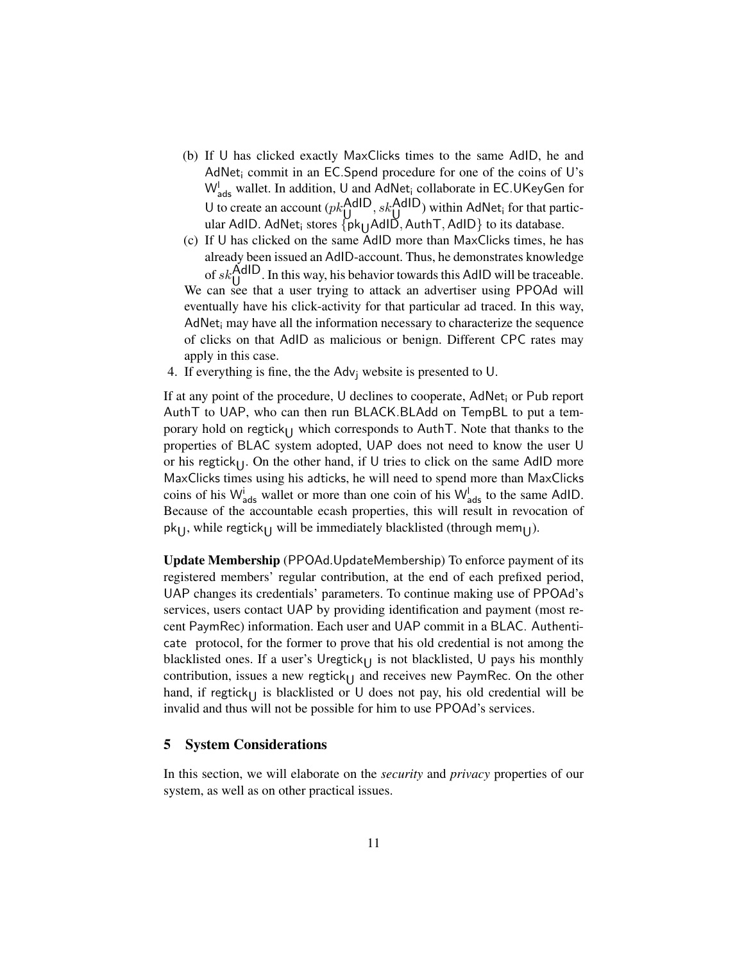- (b) If U has clicked exactly MaxClicks times to the same AdID, he and AdNet<sub>i</sub> commit in an EC. Spend procedure for one of the coins of U's W<sub>ads</sub> wallet. In addition, U and AdNet<sub>i</sub> collaborate in EC.UKeyGen for U to create an account  $(pk_U^{\text{AdID}}, sk_U^{\text{AdID}})$  within AdNet<sub>i</sub> for that particular AdID. AdNet<sub>i</sub> stores {pk<sub>U</sub>AdID, AuthT, AdID} to its database.
- (c) If U has clicked on the same AdID more than MaxClicks times, he has already been issued an AdID-account. Thus, he demonstrates knowledge of  $sk_{11}^{\text{AdID}}$ . In this way, his behavior towards this AdID will be traceable.  $U \sim U$  . In this way, his behavior towards this AGD will be traceable.<br>We can see that a user trying to attack an advertiser using PPOAd will eventually have his click-activity for that particular ad traced. In this way, AdNet<sup>i</sup> may have all the information necessary to characterize the sequence of clicks on that AdID as malicious or benign. Different CPC rates may apply in this case.
- 4. If everything is fine, the the  $Adv_i$  website is presented to U.

If at any point of the procedure,  $U$  declines to cooperate, AdNet<sub>i</sub> or Pub report AuthT to UAP, who can then run BLACK.BLAdd on TempBL to put a temporary hold on regtick<sub>U</sub> which corresponds to AuthT. Note that thanks to the properties of BLAC system adopted, UAP does not need to know the user U or his regtick<sub>U</sub>. On the other hand, if U tries to click on the same AdID more MaxClicks times using his adticks, he will need to spend more than MaxClicks coins of his W<sub>ads</sub> wallet or more than one coin of his W<sub>ads</sub> to the same AdID. Because of the accountable ecash properties, this will result in revocation of pk<sub>U</sub>, while regtick<sub>U</sub> will be immediately blacklisted (through mem<sub>U</sub>).

Update Membership (PPOAd.UpdateMembership) To enforce payment of its registered members' regular contribution, at the end of each prefixed period, UAP changes its credentials' parameters. To continue making use of PPOAd's services, users contact UAP by providing identification and payment (most recent PaymRec) information. Each user and UAP commit in a BLAC. Authenticate protocol, for the former to prove that his old credential is not among the blacklisted ones. If a user's Uregtick<sub>U</sub> is not blacklisted, U pays his monthly contribution, issues a new regtick<sub>U</sub> and receives new PaymRec. On the other hand, if regtick $_{\mathrm{U}}$  is blacklisted or U does not pay, his old credential will be invalid and thus will not be possible for him to use PPOAd's services.

### 5 System Considerations

In this section, we will elaborate on the *security* and *privacy* properties of our system, as well as on other practical issues.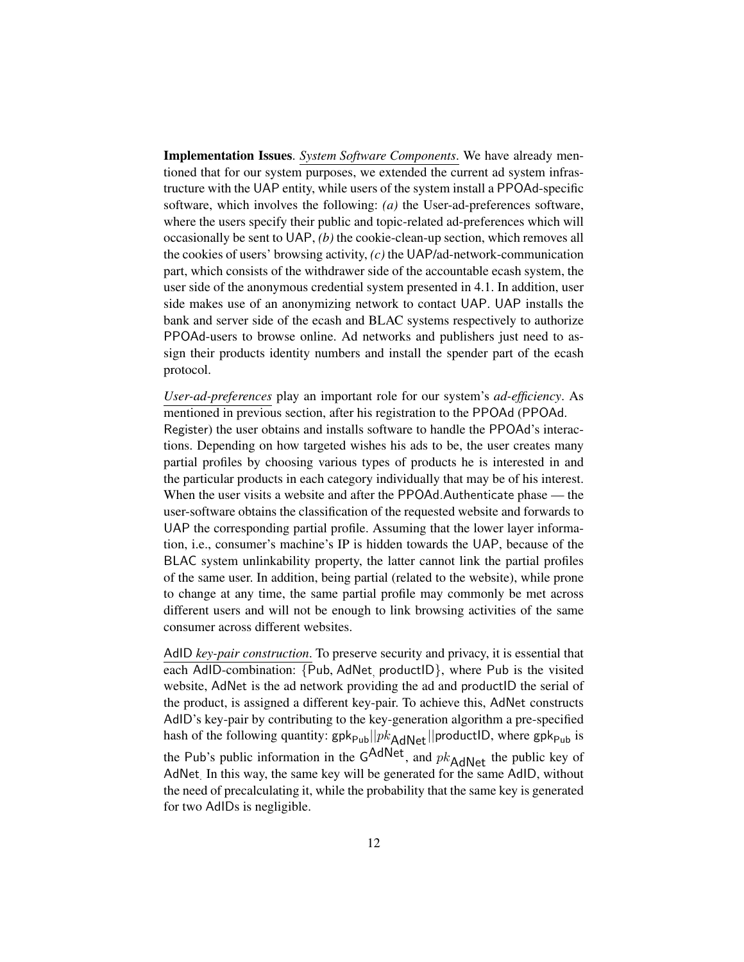Implementation Issues. *System Software Components*. We have already mentioned that for our system purposes, we extended the current ad system infrastructure with the UAP entity, while users of the system install a PPOAd-specific software, which involves the following: *(a)* the User-ad-preferences software, where the users specify their public and topic-related ad-preferences which will occasionally be sent to UAP, *(b)* the cookie-clean-up section, which removes all the cookies of users' browsing activity, *(c)* the UAP/ad-network-communication part, which consists of the withdrawer side of the accountable ecash system, the user side of the anonymous credential system presented in 4.1. In addition, user side makes use of an anonymizing network to contact UAP. UAP installs the bank and server side of the ecash and BLAC systems respectively to authorize PPOAd-users to browse online. Ad networks and publishers just need to assign their products identity numbers and install the spender part of the ecash protocol.

*User-ad-preferences* play an important role for our system's *ad-efficiency*. As mentioned in previous section, after his registration to the PPOAd (PPOAd. Register) the user obtains and installs software to handle the PPOAd's interactions. Depending on how targeted wishes his ads to be, the user creates many partial profiles by choosing various types of products he is interested in and the particular products in each category individually that may be of his interest. When the user visits a website and after the PPOAd.Authenticate phase — the user-software obtains the classification of the requested website and forwards to UAP the corresponding partial profile. Assuming that the lower layer information, i.e., consumer's machine's IP is hidden towards the UAP, because of the BLAC system unlinkability property, the latter cannot link the partial profiles of the same user. In addition, being partial (related to the website), while prone

to change at any time, the same partial profile may commonly be met across different users and will not be enough to link browsing activities of the same consumer across different websites.

AdID *key-pair construction*. To preserve security and privacy, it is essential that each AdID-combination: {Pub, AdNet productID}, where Pub is the visited website, AdNet is the ad network providing the ad and productID the serial of the product, is assigned a different key-pair. To achieve this, AdNet constructs AdID's key-pair by contributing to the key-generation algorithm a pre-specified hash of the following quantity:  $gpk_{Pub}||pk_{AdNet}||productID$ , where  $gpk_{Pub}$  is the Pub's public information in the  $G^{AdNet}$ , and  $pk_{AdNet}$  the public key of AdNet. In this way, the same key will be generated for the same AdID, without the need of precalculating it, while the probability that the same key is generated for two AdIDs is negligible.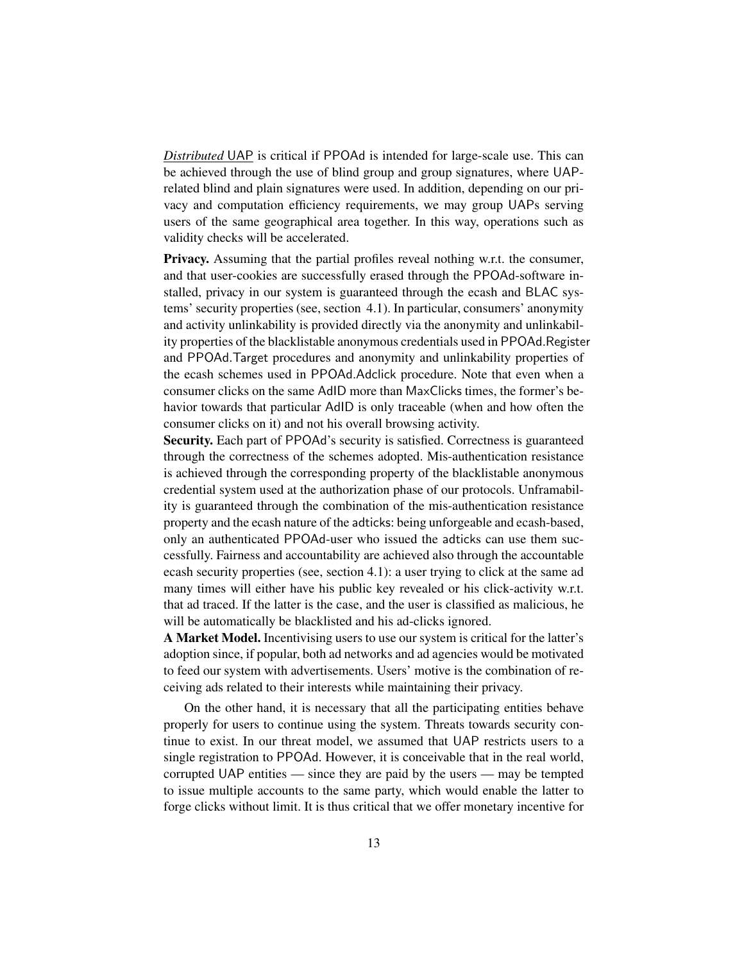*Distributed* UAP is critical if PPOAd is intended for large-scale use. This can be achieved through the use of blind group and group signatures, where UAPrelated blind and plain signatures were used. In addition, depending on our privacy and computation efficiency requirements, we may group UAPs serving users of the same geographical area together. In this way, operations such as validity checks will be accelerated.

Privacy. Assuming that the partial profiles reveal nothing w.r.t. the consumer, and that user-cookies are successfully erased through the PPOAd-software installed, privacy in our system is guaranteed through the ecash and BLAC systems' security properties (see, section 4.1). In particular, consumers' anonymity and activity unlinkability is provided directly via the anonymity and unlinkability properties of the blacklistable anonymous credentials used in PPOAd.Register and PPOAd.Target procedures and anonymity and unlinkability properties of the ecash schemes used in PPOAd.Adclick procedure. Note that even when a consumer clicks on the same AdID more than MaxClicks times, the former's behavior towards that particular AdID is only traceable (when and how often the consumer clicks on it) and not his overall browsing activity.

Security. Each part of PPOAd's security is satisfied. Correctness is guaranteed through the correctness of the schemes adopted. Mis-authentication resistance is achieved through the corresponding property of the blacklistable anonymous credential system used at the authorization phase of our protocols. Unframability is guaranteed through the combination of the mis-authentication resistance property and the ecash nature of the adticks: being unforgeable and ecash-based, only an authenticated PPOAd-user who issued the adticks can use them successfully. Fairness and accountability are achieved also through the accountable ecash security properties (see, section 4.1): a user trying to click at the same ad many times will either have his public key revealed or his click-activity w.r.t. that ad traced. If the latter is the case, and the user is classified as malicious, he will be automatically be blacklisted and his ad-clicks ignored.

A Market Model. Incentivising users to use our system is critical for the latter's adoption since, if popular, both ad networks and ad agencies would be motivated to feed our system with advertisements. Users' motive is the combination of receiving ads related to their interests while maintaining their privacy.

On the other hand, it is necessary that all the participating entities behave properly for users to continue using the system. Threats towards security continue to exist. In our threat model, we assumed that UAP restricts users to a single registration to PPOAd. However, it is conceivable that in the real world, corrupted UAP entities — since they are paid by the users — may be tempted to issue multiple accounts to the same party, which would enable the latter to forge clicks without limit. It is thus critical that we offer monetary incentive for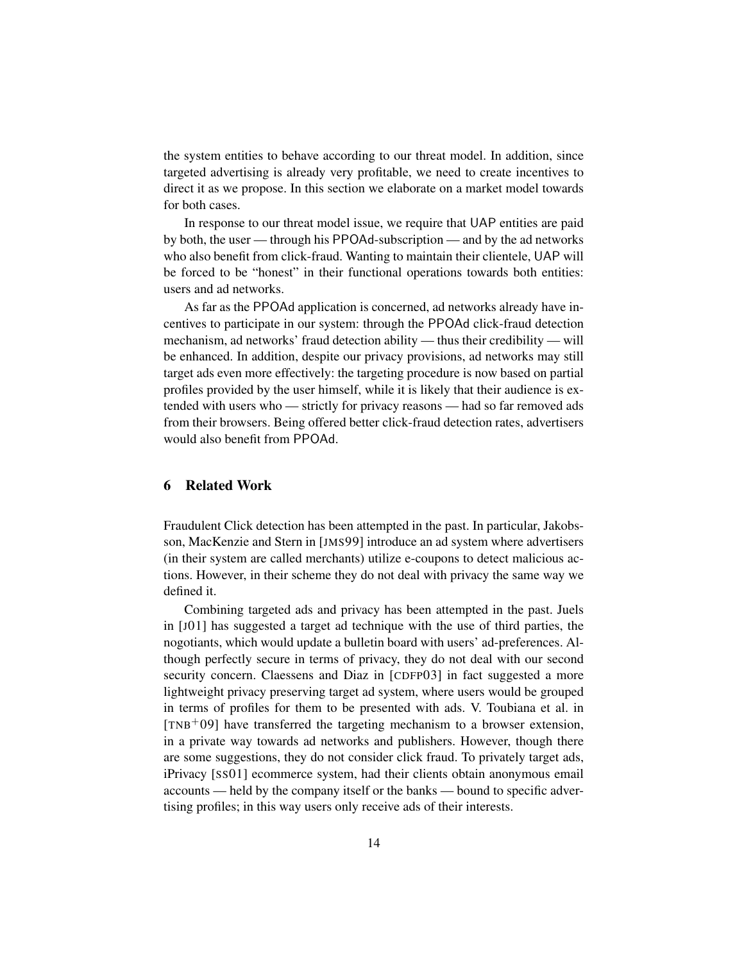the system entities to behave according to our threat model. In addition, since targeted advertising is already very profitable, we need to create incentives to direct it as we propose. In this section we elaborate on a market model towards for both cases.

In response to our threat model issue, we require that UAP entities are paid by both, the user — through his PPOAd-subscription — and by the ad networks who also benefit from click-fraud. Wanting to maintain their clientele, UAP will be forced to be "honest" in their functional operations towards both entities: users and ad networks.

As far as the PPOAd application is concerned, ad networks already have incentives to participate in our system: through the PPOAd click-fraud detection mechanism, ad networks' fraud detection ability — thus their credibility — will be enhanced. In addition, despite our privacy provisions, ad networks may still target ads even more effectively: the targeting procedure is now based on partial profiles provided by the user himself, while it is likely that their audience is extended with users who — strictly for privacy reasons — had so far removed ads from their browsers. Being offered better click-fraud detection rates, advertisers would also benefit from PPOAd.

### 6 Related Work

Fraudulent Click detection has been attempted in the past. In particular, Jakobsson, MacKenzie and Stern in [JMS99] introduce an ad system where advertisers (in their system are called merchants) utilize e-coupons to detect malicious actions. However, in their scheme they do not deal with privacy the same way we defined it.

Combining targeted ads and privacy has been attempted in the past. Juels in [J01] has suggested a target ad technique with the use of third parties, the nogotiants, which would update a bulletin board with users' ad-preferences. Although perfectly secure in terms of privacy, they do not deal with our second security concern. Claessens and Diaz in [CDFP03] in fact suggested a more lightweight privacy preserving target ad system, where users would be grouped in terms of profiles for them to be presented with ads. V. Toubiana et al. in  $[TNB<sup>+</sup>09]$  have transferred the targeting mechanism to a browser extension, in a private way towards ad networks and publishers. However, though there are some suggestions, they do not consider click fraud. To privately target ads, iPrivacy [SS01] ecommerce system, had their clients obtain anonymous email accounts — held by the company itself or the banks — bound to specific advertising profiles; in this way users only receive ads of their interests.